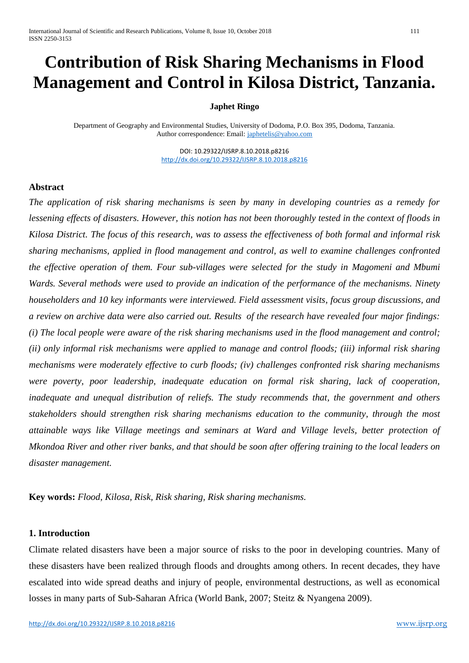# **Contribution of Risk Sharing Mechanisms in Flood Management and Control in Kilosa District, Tanzania.**

#### **Japhet Ringo**

Department of Geography and Environmental Studies, University of Dodoma, P.O. Box 395, Dodoma, Tanzania. Author correspondence: Email: [japhetelis@yahoo.com](mailto:japhetelis@yahoo.com)

> DOI: 10.29322/IJSRP.8.10.2018.p8216 <http://dx.doi.org/10.29322/IJSRP.8.10.2018.p8216>

#### **Abstract**

*The application of risk sharing mechanisms is seen by many in developing countries as a remedy for lessening effects of disasters. However, this notion has not been thoroughly tested in the context of floods in Kilosa District. The focus of this research, was to assess the effectiveness of both formal and informal risk sharing mechanisms, applied in flood management and control, as well to examine challenges confronted the effective operation of them. Four sub-villages were selected for the study in Magomeni and Mbumi Wards. Several methods were used to provide an indication of the performance of the mechanisms. Ninety householders and 10 key informants were interviewed. Field assessment visits, focus group discussions, and a review on archive data were also carried out. Results of the research have revealed four major findings: (i) The local people were aware of the risk sharing mechanisms used in the flood management and control; (ii) only informal risk mechanisms were applied to manage and control floods; (iii) informal risk sharing mechanisms were moderately effective to curb floods; (iv) challenges confronted risk sharing mechanisms were poverty, poor leadership, inadequate education on formal risk sharing, lack of cooperation, inadequate and unequal distribution of reliefs. The study recommends that, the government and others stakeholders should strengthen risk sharing mechanisms education to the community, through the most attainable ways like Village meetings and seminars at Ward and Village levels, better protection of Mkondoa River and other river banks, and that should be soon after offering training to the local leaders on disaster management.*

**Key words:** *Flood, Kilosa, Risk, Risk sharing, Risk sharing mechanisms.*

#### **1. Introduction**

Climate related disasters have been a major source of risks to the poor in developing countries. Many of these disasters have been realized through floods and droughts among others. In recent decades, they have escalated into wide spread deaths and injury of people, environmental destructions, as well as economical losses in many parts of Sub-Saharan Africa (World Bank, 2007; Steitz & Nyangena 2009).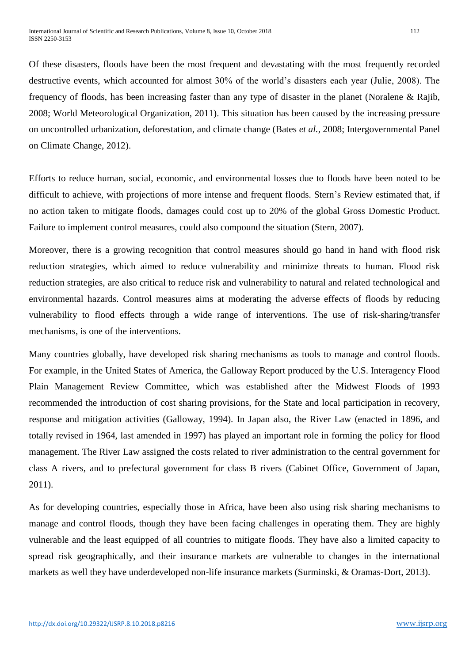Of these disasters, floods have been the most frequent and devastating with the most frequently recorded destructive events, which accounted for almost 30% of the world's disasters each year (Julie, 2008). The frequency of floods, has been increasing faster than any type of disaster in the planet (Noralene & Rajib, 2008; World Meteorological Organization, 2011). This situation has been caused by the increasing pressure on uncontrolled urbanization, deforestation, and climate change (Bates *et al.,* 2008; Intergovernmental Panel on Climate Change, 2012).

Efforts to reduce human, social, economic, and environmental losses due to floods have been noted to be difficult to achieve, with projections of more intense and frequent floods. Stern's Review estimated that, if no action taken to mitigate floods, damages could cost up to 20% of the global Gross Domestic Product. Failure to implement control measures, could also compound the situation (Stern, 2007).

Moreover, there is a growing recognition that control measures should go hand in hand with flood risk reduction strategies, which aimed to reduce vulnerability and minimize threats to human. Flood risk reduction strategies, are also critical to reduce risk and vulnerability to natural and related technological and environmental hazards. Control measures aims at moderating the adverse effects of floods by reducing vulnerability to flood effects through a wide range of interventions. The use of risk-sharing/transfer mechanisms, is one of the interventions.

Many countries globally, have developed risk sharing mechanisms as tools to manage and control floods. For example, in the United States of America, the Galloway Report produced by the U.S. Interagency Flood Plain Management Review Committee, which was established after the Midwest Floods of 1993 recommended the introduction of cost sharing provisions, for the State and local participation in recovery, response and mitigation activities (Galloway, 1994). In Japan also, the River Law (enacted in 1896, and totally revised in 1964, last amended in 1997) has played an important role in forming the policy for flood management. The River Law assigned the costs related to river administration to the central government for class A rivers, and to prefectural government for class B rivers (Cabinet Office, Government of Japan, 2011).

As for developing countries, especially those in Africa, have been also using risk sharing mechanisms to manage and control floods, though they have been facing challenges in operating them. They are highly vulnerable and the least equipped of all countries to mitigate floods. They have also a limited capacity to spread risk geographically, and their insurance markets are vulnerable to changes in the international markets as well they have underdeveloped non-life insurance markets (Surminski, & Oramas-Dort, 2013).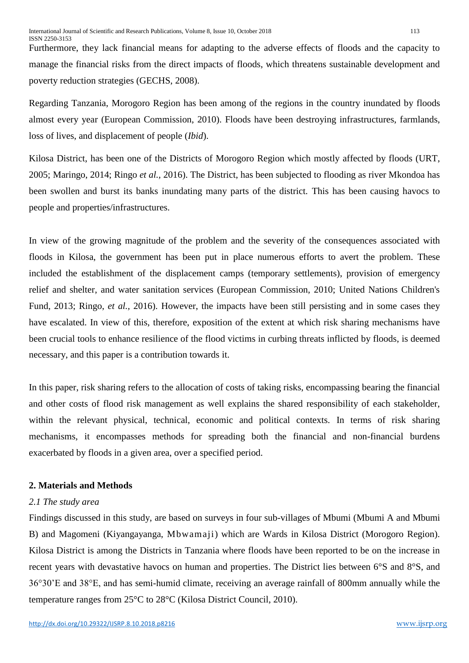Furthermore, they lack financial means for adapting to the adverse effects of floods and the capacity to manage the financial risks from the direct impacts of floods, which threatens sustainable development and poverty reduction strategies (GECHS, 2008).

Regarding Tanzania, Morogoro Region has been among of the regions in the country inundated by floods almost every year (European Commission, 2010). Floods have been destroying infrastructures, farmlands, loss of lives, and displacement of people (*Ibid*).

Kilosa District, has been one of the Districts of Morogoro Region which mostly affected by floods (URT, 2005; Maringo, 2014; Ringo *et al.,* 2016). The District, has been subjected to flooding as river Mkondoa has been swollen and burst its banks inundating many parts of the district. This has been causing havocs to people and properties/infrastructures.

In view of the growing magnitude of the problem and the severity of the consequences associated with floods in Kilosa, the government has been put in place numerous efforts to avert the problem. These included the establishment of the displacement camps (temporary settlements), provision of emergency relief and shelter, and water sanitation services (European Commission, 2010; United Nations Children's Fund, 2013; Ringo, *et al.,* 2016). However, the impacts have been still persisting and in some cases they have escalated. In view of this, therefore, exposition of the extent at which risk sharing mechanisms have been crucial tools to enhance resilience of the flood victims in curbing threats inflicted by floods, is deemed necessary, and this paper is a contribution towards it.

In this paper, risk sharing refers to the allocation of costs of taking risks, encompassing bearing the financial and other costs of flood risk management as well explains the shared responsibility of each stakeholder, within the relevant physical, technical, economic and political contexts. In terms of risk sharing mechanisms, it encompasses methods for spreading both the financial and non-financial burdens exacerbated by floods in a given area, over a specified period.

#### **2. Materials and Methods**

#### *2.1 The study area*

Findings discussed in this study, are based on surveys in four sub-villages of Mbumi (Mbumi A and Mbumi B) and Magomeni (Kiyangayanga, Mbwamaji) which are Wards in Kilosa District (Morogoro Region). Kilosa District is among the Districts in Tanzania where floods have been reported to be on the increase in recent years with devastative havocs on human and properties. The District lies between 6°S and 8°S, and 36°30'E and 38°E, and has semi-humid climate, receiving an average rainfall of 800mm annually while the temperature ranges from 25°C to 28°C (Kilosa District Council, 2010).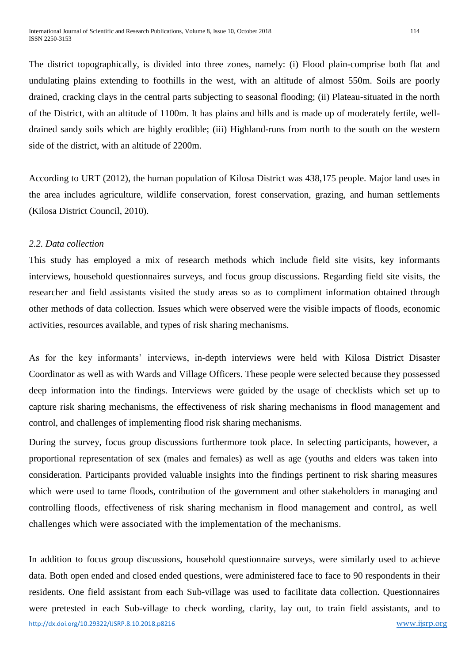The district topographically, is divided into three zones, namely: (i) Flood plain-comprise both flat and undulating plains extending to foothills in the west, with an altitude of almost 550m. Soils are poorly drained, cracking clays in the central parts subjecting to seasonal flooding; (ii) Plateau-situated in the north of the District, with an altitude of 1100m. It has plains and hills and is made up of moderately fertile, welldrained sandy soils which are highly erodible; (iii) Highland-runs from north to the south on the western side of the district, with an altitude of 2200m.

According to URT (2012), the human population of Kilosa District was 438,175 people. Major land uses in the area includes agriculture, wildlife conservation, forest conservation, grazing, and human settlements (Kilosa District Council, 2010).

## *2.2. Data collection*

This study has employed a mix of research methods which include field site visits, key informants interviews, household questionnaires surveys, and focus group discussions. Regarding field site visits, the researcher and field assistants visited the study areas so as to compliment information obtained through other methods of data collection. Issues which were observed were the visible impacts of floods, economic activities, resources available, and types of risk sharing mechanisms.

As for the key informants' interviews, in-depth interviews were held with Kilosa District Disaster Coordinator as well as with Wards and Village Officers. These people were selected because they possessed deep information into the findings. Interviews were guided by the usage of checklists which set up to capture risk sharing mechanisms, the effectiveness of risk sharing mechanisms in flood management and control, and challenges of implementing flood risk sharing mechanisms.

During the survey, focus group discussions furthermore took place. In selecting participants, however, a proportional representation of sex (males and females) as well as age (youths and elders was taken into consideration. Participants provided valuable insights into the findings pertinent to risk sharing measures which were used to tame floods, contribution of the government and other stakeholders in managing and controlling floods, effectiveness of risk sharing mechanism in flood management and control, as well challenges which were associated with the implementation of the mechanisms.

<http://dx.doi.org/10.29322/IJSRP.8.10.2018.p8216>[www.ijsrp.org](http://ijsrp.org/) In addition to focus group discussions, household questionnaire surveys, were similarly used to achieve data. Both open ended and closed ended questions, were administered face to face to 90 respondents in their residents. One field assistant from each Sub-village was used to facilitate data collection. Questionnaires were pretested in each Sub-village to check wording, clarity, lay out, to train field assistants, and to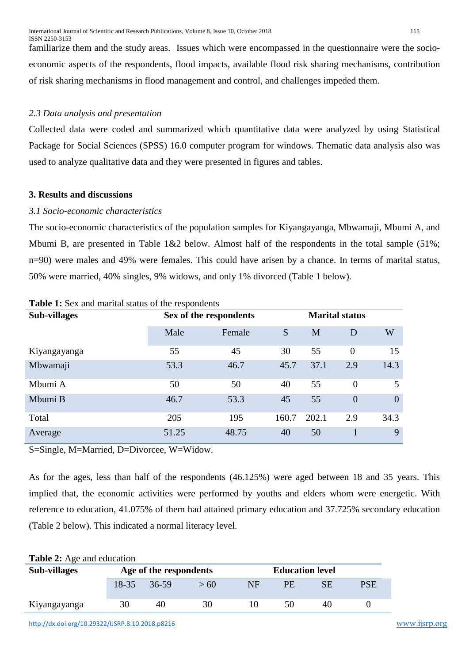familiarize them and the study areas. Issues which were encompassed in the questionnaire were the socioeconomic aspects of the respondents, flood impacts, available flood risk sharing mechanisms, contribution of risk sharing mechanisms in flood management and control, and challenges impeded them.

## *2.3 Data analysis and presentation*

Collected data were coded and summarized which quantitative data were analyzed by using Statistical Package for Social Sciences (SPSS) 16.0 computer program for windows. Thematic data analysis also was used to analyze qualitative data and they were presented in figures and tables.

#### **3. Results and discussions**

#### *3.1 Socio-economic characteristics*

The socio-economic characteristics of the population samples for Kiyangayanga, Mbwamaji, Mbumi A, and Mbumi B, are presented in Table 1&2 below. Almost half of the respondents in the total sample (51%; n=90) were males and 49% were females. This could have arisen by a chance. In terms of marital status, 50% were married, 40% singles, 9% widows, and only 1% divorced (Table 1 below).

| $\cdots$            |                        |                       |       |       |                |                |  |  |
|---------------------|------------------------|-----------------------|-------|-------|----------------|----------------|--|--|
| <b>Sub-villages</b> | Sex of the respondents | <b>Marital status</b> |       |       |                |                |  |  |
|                     | Male                   | Female                | S     | M     | D              | W              |  |  |
| Kiyangayanga        | 55                     | 45                    | 30    | 55    | $\overline{0}$ | 15             |  |  |
| Mbwamaji            | 53.3                   | 46.7                  | 45.7  | 37.1  | 2.9            | 14.3           |  |  |
| Mbumi A             | 50                     | 50                    | 40    | 55    | $\overline{0}$ | 5              |  |  |
| Mbumi B             | 46.7                   | 53.3                  | 45    | 55    | $\overline{0}$ | $\overline{0}$ |  |  |
| Total               | 205                    | 195                   | 160.7 | 202.1 | 2.9            | 34.3           |  |  |
| Average             | 51.25                  | 48.75                 | 40    | 50    |                | 9              |  |  |

**Table 1:** Sex and marital status of the respondents

S=Single, M=Married, D=Divorcee, W=Widow.

As for the ages, less than half of the respondents (46.125%) were aged between 18 and 35 years. This implied that, the economic activities were performed by youths and elders whom were energetic. With reference to education, 41.075% of them had attained primary education and 37.725% secondary education (Table 2 below). This indicated a normal literacy level.

| <b>Table 2:</b> Age and education |           |                        |      |           |                        |    |            |  |
|-----------------------------------|-----------|------------------------|------|-----------|------------------------|----|------------|--|
| Sub-villages                      |           | Age of the respondents |      |           | <b>Education level</b> |    |            |  |
|                                   | $18 - 35$ | $36-59$                | > 60 | <b>NF</b> | PE                     | SЕ | <b>PSE</b> |  |
| Kiyangayanga                      | 30        | 40                     | 30   |           | 50                     | 40 |            |  |

 $T$ **D**  $\mathbf{1}$   $\mathbf{2}$   $\mathbf{4}$   $\mathbf{1}$   $\mathbf{1}$   $\mathbf{1}$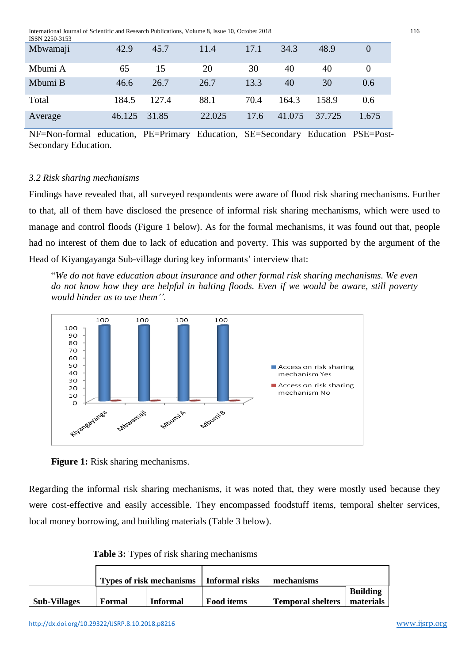| Mbwamaji | 42.9   | 45.7  | 11.4   | 17.1 | 34.3   | 48.9   |          |
|----------|--------|-------|--------|------|--------|--------|----------|
| Mbumi A  | 65     | 15    | 20     | 30   | 40     | 40     | $\theta$ |
| Mbumi B  | 46.6   | 26.7  | 26.7   | 13.3 | 40     | 30     | 0.6      |
| Total    | 184.5  | 127.4 | 88.1   | 70.4 | 164.3  | 158.9  | 0.6      |
| Average  | 46.125 | 31.85 | 22.025 | 17.6 | 41.075 | 37.725 | 1.675    |

NF=Non-formal education, PE=Primary Education, SE=Secondary Education PSE=Post-Secondary Education.

#### *3.2 Risk sharing mechanisms*

Findings have revealed that, all surveyed respondents were aware of flood risk sharing mechanisms. Further to that, all of them have disclosed the presence of informal risk sharing mechanisms, which were used to manage and control floods (Figure 1 below). As for the formal mechanisms, it was found out that, people had no interest of them due to lack of education and poverty. This was supported by the argument of the Head of Kiyangayanga Sub-village during key informants' interview that:

"*We do not have education about insurance and other formal risk sharing mechanisms. We even do not know how they are helpful in halting floods. Even if we would be aware, still poverty would hinder us to use them''.*



**Figure 1:** Risk sharing mechanisms.

Regarding the informal risk sharing mechanisms, it was noted that, they were mostly used because they were cost-effective and easily accessible. They encompassed foodstuff items, temporal shelter services, local money borrowing, and building materials (Table 3 below).

 **Table 3:** Types of risk sharing mechanisms

|                     | <b>Types of risk mechanisms</b> |                 | Informal risks    | mechanisms               |                              |
|---------------------|---------------------------------|-----------------|-------------------|--------------------------|------------------------------|
| <b>Sub-Villages</b> | Formal                          | <b>Informal</b> | <b>Food items</b> | <b>Temporal shelters</b> | <b>Building</b><br>materials |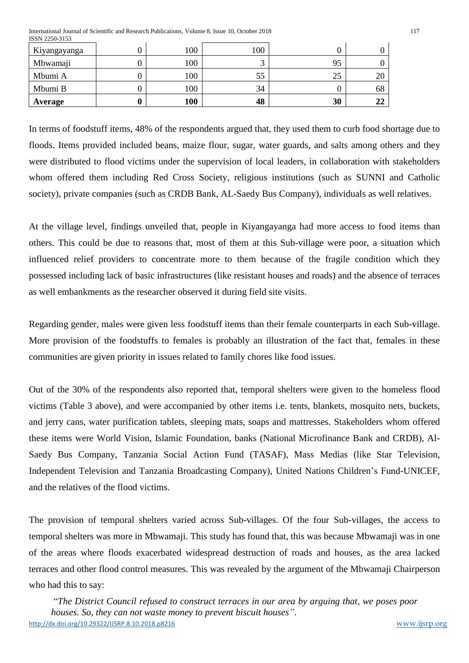International Journal of Scientific and Research Publications, Volume 8, Issue 10, October 2018 117 ISSN 2250-3153

| Kiyangayanga | 100 | 100 |    |    |
|--------------|-----|-----|----|----|
| Mbwamaji     | 100 | ⌒   | 95 |    |
| Mbumi A      | 100 | 55  | 25 | 20 |
| Mbumi B      | 100 | 34  |    | 68 |
| Average      | 100 | 48  | 30 | 22 |

In terms of foodstuff items, 48% of the respondents argued that, they used them to curb food shortage due to floods. Items provided included beans, maize flour, sugar, water guards, and salts among others and they were distributed to flood victims under the supervision of local leaders, in collaboration with stakeholders whom offered them including Red Cross Society, religious institutions (such as SUNNI and Catholic society), private companies (such as CRDB Bank, AL-Saedy Bus Company), individuals as well relatives.

At the village level, findings unveiled that, people in Kiyangayanga had more access to food items than others. This could be due to reasons that, most of them at this Sub-village were poor, a situation which influenced relief providers to concentrate more to them because of the fragile condition which they possessed including lack of basic infrastructures (like resistant houses and roads) and the absence of terraces as well embankments as the researcher observed it during field site visits.

Regarding gender, males were given less foodstuff items than their female counterparts in each Sub-village. More provision of the foodstuffs to females is probably an illustration of the fact that, females in these communities are given priority in issues related to family chores like food issues.

Out of the 30% of the respondents also reported that, temporal shelters were given to the homeless flood victims (Table 3 above), and were accompanied by other items i.e. tents, blankets, mosquito nets, buckets, and jerry cans, water purification tablets, sleeping mats, soaps and mattresses. Stakeholders whom offered these items were World Vision, Islamic Foundation, banks (National Microfinance Bank and CRDB), Al-Saedy Bus Company, Tanzania Social Action Fund (TASAF), Mass Medias (like Star Television, Independent Television and Tanzania Broadcasting Company), United Nations Children's Fund-UNICEF, and the relatives of the flood victims.

The provision of temporal shelters varied across Sub-villages. Of the four Sub-villages, the access to temporal shelters was more in Mbwamaji. This study has found that, this was because Mbwamaji was in one of the areas where floods exacerbated widespread destruction of roads and houses, as the area lacked terraces and other flood control measures. This was revealed by the argument of the Mbwamaji Chairperson who had this to say:

<http://dx.doi.org/10.29322/IJSRP.8.10.2018.p8216>[www.ijsrp.org](http://ijsrp.org/) "*The District Council refused to construct terraces in our area by arguing that, we poses poor houses. So, they can not waste money to prevent biscuit houses"*.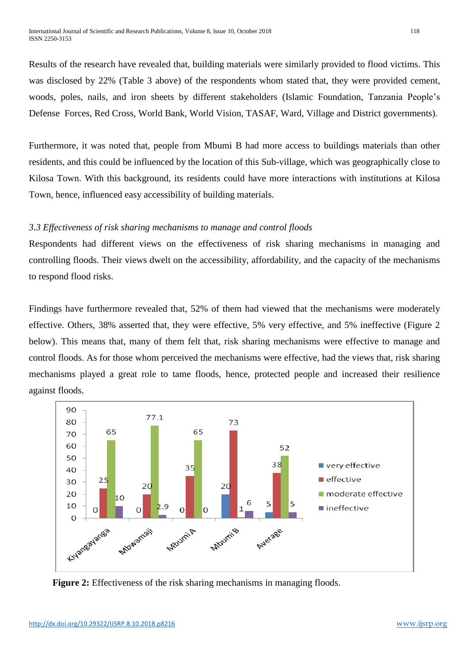Results of the research have revealed that, building materials were similarly provided to flood victims. This was disclosed by 22% (Table 3 above) of the respondents whom stated that, they were provided cement, woods, poles, nails, and iron sheets by different stakeholders (Islamic Foundation, Tanzania People's Defense Forces, Red Cross, World Bank, World Vision, TASAF, Ward, Village and District governments).

Furthermore, it was noted that, people from Mbumi B had more access to buildings materials than other residents, and this could be influenced by the location of this Sub-village, which was geographically close to Kilosa Town. With this background, its residents could have more interactions with institutions at Kilosa Town, hence, influenced easy accessibility of building materials.

## *3.3 Effectiveness of risk sharing mechanisms to manage and control floods*

Respondents had different views on the effectiveness of risk sharing mechanisms in managing and controlling floods. Their views dwelt on the accessibility, affordability, and the capacity of the mechanisms to respond flood risks.

Findings have furthermore revealed that, 52% of them had viewed that the mechanisms were moderately effective. Others, 38% asserted that, they were effective, 5% very effective, and 5% ineffective (Figure 2 below). This means that, many of them felt that, risk sharing mechanisms were effective to manage and control floods. As for those whom perceived the mechanisms were effective, had the views that, risk sharing mechanisms played a great role to tame floods, hence, protected people and increased their resilience against floods.



**Figure 2:** Effectiveness of the risk sharing mechanisms in managing floods.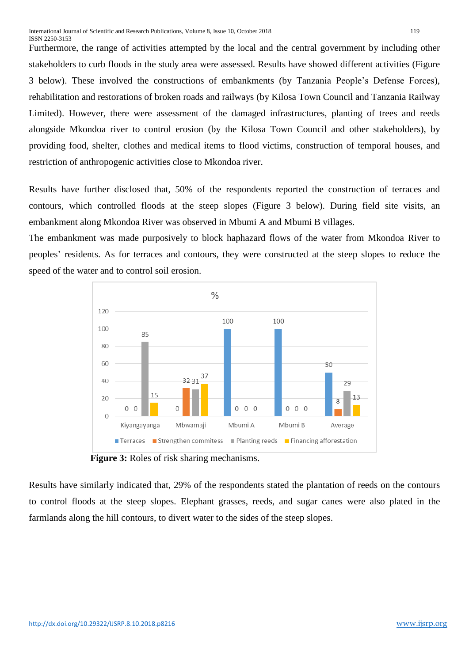Furthermore, the range of activities attempted by the local and the central government by including other stakeholders to curb floods in the study area were assessed. Results have showed different activities (Figure 3 below). These involved the constructions of embankments (by Tanzania People's Defense Forces), rehabilitation and restorations of broken roads and railways (by Kilosa Town Council and Tanzania Railway Limited). However, there were assessment of the damaged infrastructures, planting of trees and reeds alongside Mkondoa river to control erosion (by the Kilosa Town Council and other stakeholders), by providing food, shelter, clothes and medical items to flood victims, construction of temporal houses, and restriction of anthropogenic activities close to Mkondoa river.

Results have further disclosed that, 50% of the respondents reported the construction of terraces and contours, which controlled floods at the steep slopes (Figure 3 below). During field site visits, an embankment along Mkondoa River was observed in Mbumi A and Mbumi B villages.

The embankment was made purposively to block haphazard flows of the water from Mkondoa River to peoples' residents. As for terraces and contours, they were constructed at the steep slopes to reduce the speed of the water and to control soil erosion.



 **Figure 3:** Roles of risk sharing mechanisms.

Results have similarly indicated that, 29% of the respondents stated the plantation of reeds on the contours to control floods at the steep slopes. Elephant grasses, reeds, and sugar canes were also plated in the farmlands along the hill contours, to divert water to the sides of the steep slopes.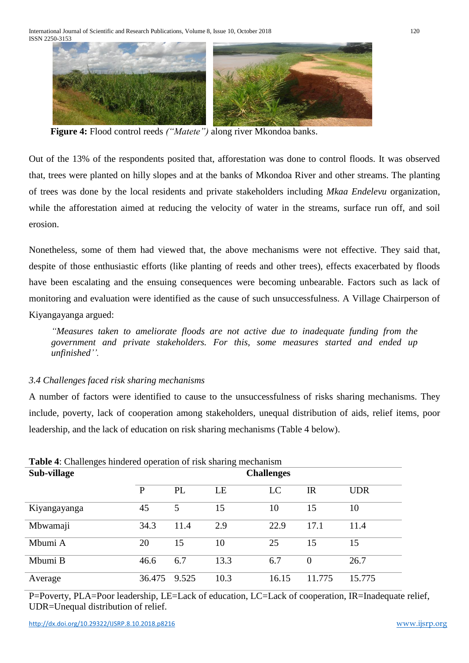

**Figure 4:** Flood control reeds *("Matete")* along river Mkondoa banks.

Out of the 13% of the respondents posited that, afforestation was done to control floods. It was observed that, trees were planted on hilly slopes and at the banks of Mkondoa River and other streams. The planting of trees was done by the local residents and private stakeholders including *Mkaa Endelevu* organization, while the afforestation aimed at reducing the velocity of water in the streams, surface run off, and soil erosion.

Nonetheless, some of them had viewed that, the above mechanisms were not effective. They said that, despite of those enthusiastic efforts (like planting of reeds and other trees), effects exacerbated by floods have been escalating and the ensuing consequences were becoming unbearable. Factors such as lack of monitoring and evaluation were identified as the cause of such unsuccessfulness. A Village Chairperson of Kiyangayanga argued:

*"Measures taken to ameliorate floods are not active due to inadequate funding from the government and private stakeholders. For this, some measures started and ended up unfinished''.*

## *3.4 Challenges faced risk sharing mechanisms*

A number of factors were identified to cause to the unsuccessfulness of risks sharing mechanisms. They include, poverty, lack of cooperation among stakeholders, unequal distribution of aids, relief items, poor leadership, and the lack of education on risk sharing mechanisms (Table 4 below).

| <b>Table 4:</b> Challenges hindered operation of risk sharing mechanism |                   |       |      |       |                |            |  |  |
|-------------------------------------------------------------------------|-------------------|-------|------|-------|----------------|------------|--|--|
| Sub-village                                                             | <b>Challenges</b> |       |      |       |                |            |  |  |
|                                                                         | P                 | PL    | LE   | LC    | <b>IR</b>      | <b>UDR</b> |  |  |
| Kiyangayanga                                                            | 45                | 5     | 15   | 10    | 15             | 10         |  |  |
| Mbwamaji                                                                | 34.3              | 11.4  | 2.9  | 22.9  | 17.1           | 11.4       |  |  |
| Mbumi A                                                                 | 20                | 15    | 10   | 25    | 15             | 15         |  |  |
| Mbumi B                                                                 | 46.6              | 6.7   | 13.3 | 6.7   | $\overline{0}$ | 26.7       |  |  |
| Average                                                                 | 36.475            | 9.525 | 10.3 | 16.15 | 11.775         | 15.775     |  |  |

P=Poverty, PLA=Poor leadership, LE=Lack of education, LC=Lack of cooperation, IR=Inadequate relief, UDR=Unequal distribution of relief.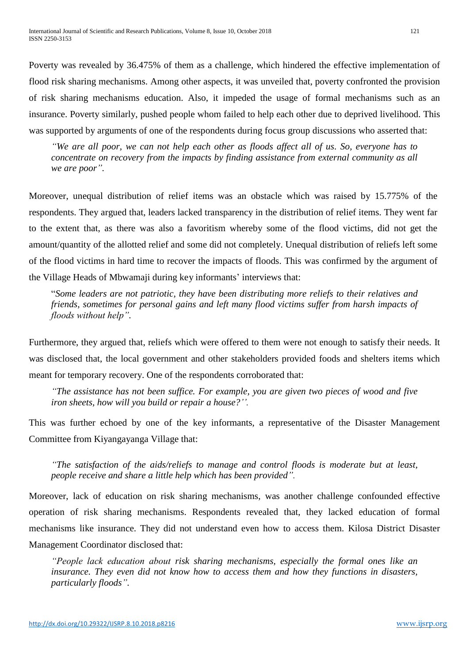Poverty was revealed by 36.475% of them as a challenge, which hindered the effective implementation of flood risk sharing mechanisms. Among other aspects, it was unveiled that, poverty confronted the provision of risk sharing mechanisms education. Also, it impeded the usage of formal mechanisms such as an insurance. Poverty similarly, pushed people whom failed to help each other due to deprived livelihood. This was supported by arguments of one of the respondents during focus group discussions who asserted that:

*"We are all poor, we can not help each other as floods affect all of us. So, everyone has to concentrate on recovery from the impacts by finding assistance from external community as all we are poor".*

Moreover, unequal distribution of relief items was an obstacle which was raised by 15.775% of the respondents. They argued that, leaders lacked transparency in the distribution of relief items. They went far to the extent that, as there was also a favoritism whereby some of the flood victims, did not get the amount/quantity of the allotted relief and some did not completely. Unequal distribution of reliefs left some of the flood victims in hard time to recover the impacts of floods. This was confirmed by the argument of the Village Heads of Mbwamaji during key informants' interviews that:

"*Some leaders are not patriotic, they have been distributing more reliefs to their relatives and friends, sometimes for personal gains and left many flood victims suffer from harsh impacts of floods without help".*

Furthermore, they argued that, reliefs which were offered to them were not enough to satisfy their needs. It was disclosed that, the local government and other stakeholders provided foods and shelters items which meant for temporary recovery. One of the respondents corroborated that:

*"The assistance has not been suffice. For example, you are given two pieces of wood and five iron sheets, how will you build or repair a house?''.*

This was further echoed by one of the key informants, a representative of the Disaster Management Committee from Kiyangayanga Village that:

*"The satisfaction of the aids/reliefs to manage and control floods is moderate but at least, people receive and share a little help which has been provided".*

Moreover, lack of education on risk sharing mechanisms, was another challenge confounded effective operation of risk sharing mechanisms. Respondents revealed that, they lacked education of formal mechanisms like insurance. They did not understand even how to access them. Kilosa District Disaster Management Coordinator disclosed that:

*"People lack education about risk sharing mechanisms, especially the formal ones like an insurance. They even did not know how to access them and how they functions in disasters, particularly floods".*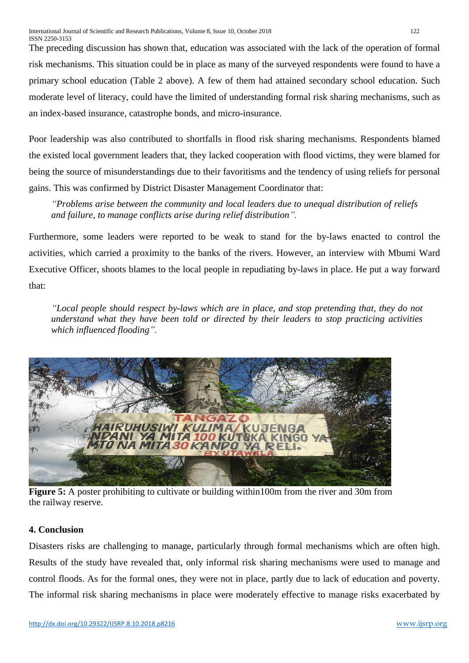The preceding discussion has shown that, education was associated with the lack of the operation of formal risk mechanisms. This situation could be in place as many of the surveyed respondents were found to have a primary school education (Table 2 above). A few of them had attained secondary school education. Such moderate level of literacy, could have the limited of understanding formal risk sharing mechanisms, such as an index-based insurance, catastrophe bonds, and micro-insurance.

Poor leadership was also contributed to shortfalls in flood risk sharing mechanisms. Respondents blamed the existed local government leaders that, they lacked cooperation with flood victims, they were blamed for being the source of misunderstandings due to their favoritisms and the tendency of using reliefs for personal gains. This was confirmed by District Disaster Management Coordinator that:

*"Problems arise between the community and local leaders due to unequal distribution of reliefs and failure, to manage conflicts arise during relief distribution".*

Furthermore, some leaders were reported to be weak to stand for the by-laws enacted to control the activities, which carried a proximity to the banks of the rivers. However, an interview with Mbumi Ward Executive Officer, shoots blames to the local people in repudiating by-laws in place. He put a way forward that:

*"Local people should respect by-laws which are in place, and stop pretending that, they do not understand what they have been told or directed by their leaders to stop practicing activities which influenced flooding".*



**Figure 5:** A poster prohibiting to cultivate or building within100m from the river and 30m from the railway reserve.

# **4. Conclusion**

Disasters risks are challenging to manage, particularly through formal mechanisms which are often high. Results of the study have revealed that, only informal risk sharing mechanisms were used to manage and control floods. As for the formal ones, they were not in place, partly due to lack of education and poverty. The informal risk sharing mechanisms in place were moderately effective to manage risks exacerbated by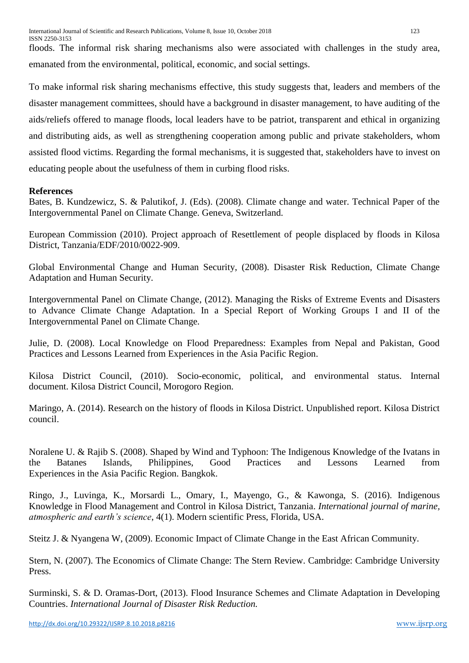floods. The informal risk sharing mechanisms also were associated with challenges in the study area, emanated from the environmental, political, economic, and social settings.

To make informal risk sharing mechanisms effective, this study suggests that, leaders and members of the disaster management committees, should have a background in disaster management, to have auditing of the aids/reliefs offered to manage floods, local leaders have to be patriot, transparent and ethical in organizing and distributing aids, as well as strengthening cooperation among public and private stakeholders, whom assisted flood victims. Regarding the formal mechanisms, it is suggested that, stakeholders have to invest on educating people about the usefulness of them in curbing flood risks.

## **References**

Bates, B. Kundzewicz, S. & Palutikof, J. (Eds). (2008). Climate change and water. Technical Paper of the Intergovernmental Panel on Climate Change. Geneva, Switzerland.

European Commission (2010). Project approach of Resettlement of people displaced by floods in Kilosa District, Tanzania/EDF/2010/0022-909.

Global Environmental Change and Human Security, (2008). Disaster Risk Reduction, Climate Change Adaptation and Human Security.

Intergovernmental Panel on Climate Change, (2012). Managing the Risks of Extreme Events and Disasters to Advance Climate Change Adaptation. In a Special Report of Working Groups I and II of the Intergovernmental Panel on Climate Change.

Julie, D. (2008). Local Knowledge on Flood Preparedness: Examples from Nepal and Pakistan, Good Practices and Lessons Learned from Experiences in the Asia Pacific Region.

Kilosa District Council, (2010). Socio-economic, political, and environmental status. Internal document. Kilosa District Council, Morogoro Region.

Maringo, A. (2014). Research on the history of floods in Kilosa District. Unpublished report. Kilosa District council.

Noralene U. & Rajib S. (2008). Shaped by Wind and Typhoon: The Indigenous Knowledge of the Ivatans in the Batanes Islands, Philippines, Good Practices and Lessons Learned from Experiences in the Asia Pacific Region. Bangkok.

Ringo, J., Luvinga, K., Morsardi L., Omary, I., Mayengo, G., & Kawonga, S. (2016). Indigenous Knowledge in Flood Management and Control in Kilosa District, Tanzania. *International journal of marine, atmospheric and earth's science*, 4(1). Modern scientific Press, Florida, USA.

Steitz J. & Nyangena W, (2009). Economic Impact of Climate Change in the East African Community.

Stern, N. (2007). The Economics of Climate Change: The Stern Review. Cambridge: Cambridge University Press.

Surminski, S. & D. Oramas-Dort, (2013). Flood Insurance Schemes and Climate Adaptation in Developing Countries. *International Journal of Disaster Risk Reduction.*